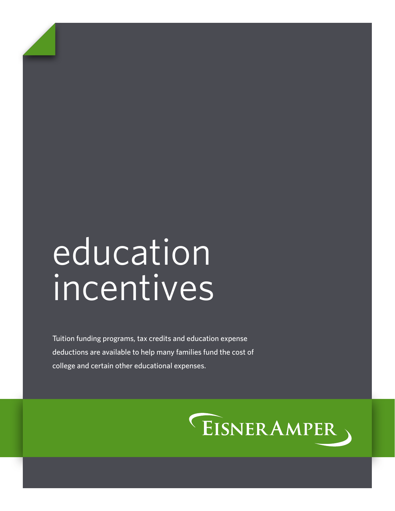# education incentives

Tuition funding programs, tax credits and education expense deductions are available to help many families fund the cost of college and certain other educational expenses.

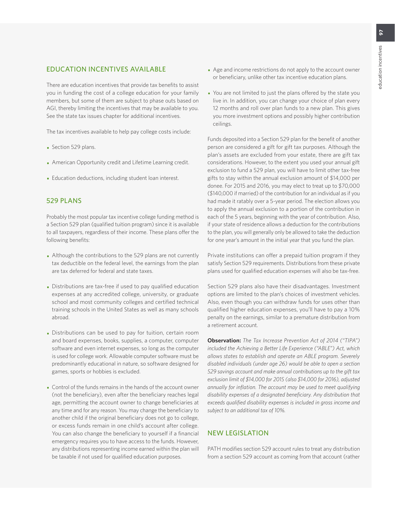#### EDUCATION INCENTIVES AVAILABLE

There are education incentives that provide tax benefits to assist you in funding the cost of a college education for your family members, but some of them are subject to phase outs based on AGI, thereby limiting the incentives that may be available to you. See the state tax issues chapter for additional incentives.

The tax incentives available to help pay college costs include:

- Section 529 plans.
- American Opportunity credit and Lifetime Learning credit.
- Education deductions, including student loan interest.

#### 529 PLANS

Probably the most popular tax incentive college funding method is a Section 529 plan (qualified tuition program) since it is available to all taxpayers, regardless of their income. These plans offer the following benefits:

- Although the contributions to the 529 plans are not currently tax deductible on the federal level, the earnings from the plan are tax deferred for federal and state taxes.
- Distributions are tax-free if used to pay qualified education expenses at any accredited college, university, or graduate school and most community colleges and certified technical training schools in the United States as well as many schools abroad.
- Distributions can be used to pay for tuition, certain room and board expenses, books, supplies, a computer, computer software and even internet expenses, so long as the computer is used for college work. Allowable computer software must be predominantly educational in nature, so software designed for games, sports or hobbies is excluded.
- Control of the funds remains in the hands of the account owner (not the beneficiary), even after the beneficiary reaches legal age, permitting the account owner to change beneficiaries at any time and for any reason. You may change the beneficiary to another child if the original beneficiary does not go to college, or excess funds remain in one child's account after college. You can also change the beneficiary to yourself if a financial emergency requires you to have access to the funds. However, any distributions representing income earned within the plan will be taxable if not used for qualified education purposes.
- Age and income restrictions do not apply to the account owner or beneficiary, unlike other tax incentive education plans.
- You are not limited to just the plans offered by the state you live in. In addition, you can change your choice of plan every 12 months and roll over plan funds to a new plan. This gives you more investment options and possibly higher contribution ceilings.

Funds deposited into a Section 529 plan for the benefit of another person are considered a gift for gift tax purposes. Although the plan's assets are excluded from your estate, there are gift tax considerations. However, to the extent you used your annual gift exclusion to fund a 529 plan, you will have to limit other tax-free gifts to stay within the annual exclusion amount of \$14,000 per donee. For 2015 and 2016, you may elect to treat up to \$70,000 (\$140,000 if married) of the contribution for an individual as if you had made it ratably over a 5-year period. The election allows you to apply the annual exclusion to a portion of the contribution in each of the 5 years, beginning with the year of contribution. Also, if your state of residence allows a deduction for the contributions to the plan, you will generally only be allowed to take the deduction for one year's amount in the initial year that you fund the plan.

Private institutions can offer a prepaid tuition program if they satisfy Section 529 requirements. Distributions from these private plans used for qualified education expenses will also be tax-free.

Section 529 plans also have their disadvantages. Investment options are limited to the plan's choices of investment vehicles. Also, even though you can withdraw funds for uses other than qualified higher education expenses, you'll have to pay a 10% penalty on the earnings, similar to a premature distribution from a retirement account.

**Observation:** *The Tax Increase Prevention Act of 2014 ("TIPA") included the Achieving a Better Life Experience ("ABLE") Act, which allows states to establish and operate an ABLE program. Severely disabled individuals (under age 26) would be able to open a section 529 savings account and make annual contributions up to the gift tax exclusion limit of \$14,000 for 2015 (also \$14,000 for 2016), adjusted annually for inflation. The account may be used to meet qualifying disability expenses of a designated beneficiary. Any distribution that exceeds qualified disability expenses is included in gross income and subject to an additional tax of 10%.*

### NEW LEGISLATION

PATH modifies section 529 account rules to treat any distribution from a section 529 account as coming from that account (rather